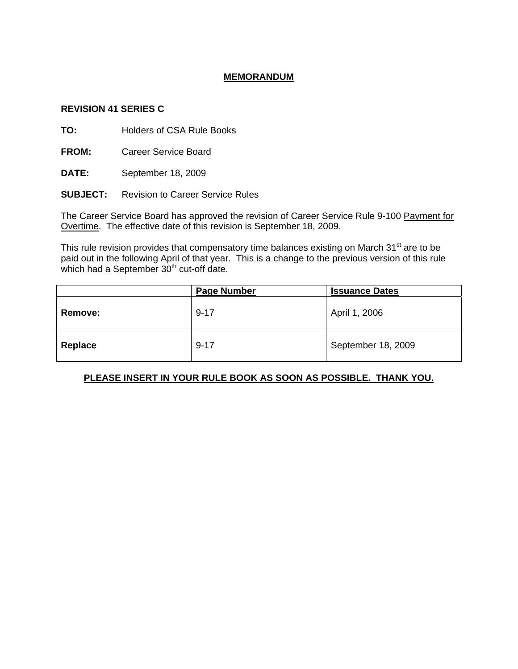## **MEMORANDUM**

## **REVISION 41 SERIES C**

**TO:** Holders of CSA Rule Books

**FROM:** Career Service Board

**DATE:** September 18, 2009

**SUBJECT:** Revision to Career Service Rules

The Career Service Board has approved the revision of Career Service Rule 9-100 Payment for Overtime. The effective date of this revision is September 18, 2009.

This rule revision provides that compensatory time balances existing on March 31<sup>st</sup> are to be paid out in the following April of that year. This is a change to the previous version of this rule which had a September  $30<sup>th</sup>$  cut-off date.

|                | <b>Page Number</b> | <b>Issuance Dates</b> |
|----------------|--------------------|-----------------------|
| <b>Remove:</b> | $9 - 17$           | April 1, 2006         |
| Replace        | $9 - 17$           | September 18, 2009    |

## **PLEASE INSERT IN YOUR RULE BOOK AS SOON AS POSSIBLE. THANK YOU.**